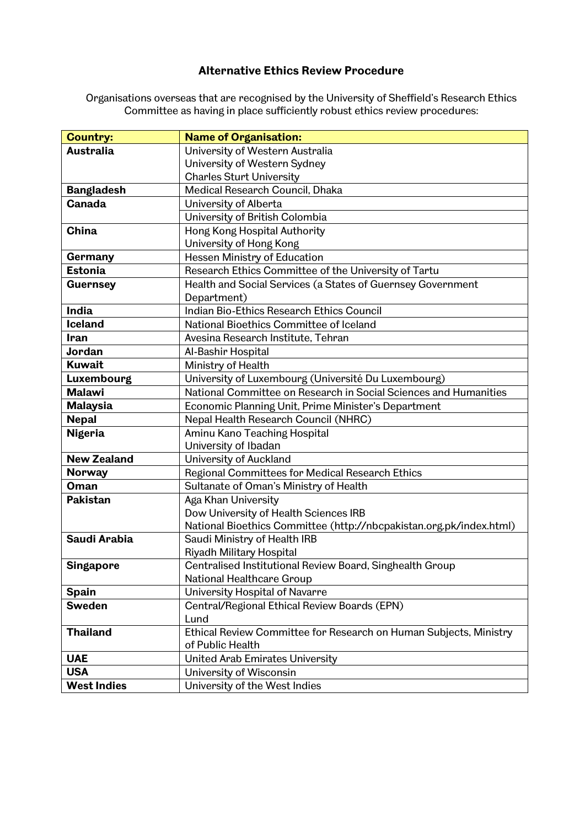## **Alternative Ethics Review Procedure**

Organisations overseas that are recognised by the University of Sheffield's Research Ethics Committee as having in place sufficiently robust ethics review procedures:

| Australia<br>University of Western Australia<br>University of Western Sydney<br><b>Charles Sturt University</b><br>Medical Research Council, Dhaka<br><b>Bangladesh</b><br><b>Canada</b><br>University of Alberta<br>University of British Colombia<br>Hong Kong Hospital Authority<br>China<br>University of Hong Kong<br>Hessen Ministry of Education<br>Germany<br><b>Estonia</b><br>Research Ethics Committee of the University of Tartu<br>Health and Social Services (a States of Guernsey Government<br><b>Guernsey</b><br>Department)<br>India<br>Indian Bio-Ethics Research Ethics Council<br>National Bioethics Committee of Iceland<br><b>Iceland</b><br>Avesina Research Institute, Tehran<br><b>Iran</b><br>Jordan<br>Al-Bashir Hospital<br><b>Kuwait</b><br>Ministry of Health<br>University of Luxembourg (Université Du Luxembourg)<br>Luxembourg |
|-------------------------------------------------------------------------------------------------------------------------------------------------------------------------------------------------------------------------------------------------------------------------------------------------------------------------------------------------------------------------------------------------------------------------------------------------------------------------------------------------------------------------------------------------------------------------------------------------------------------------------------------------------------------------------------------------------------------------------------------------------------------------------------------------------------------------------------------------------------------|
|                                                                                                                                                                                                                                                                                                                                                                                                                                                                                                                                                                                                                                                                                                                                                                                                                                                                   |
|                                                                                                                                                                                                                                                                                                                                                                                                                                                                                                                                                                                                                                                                                                                                                                                                                                                                   |
|                                                                                                                                                                                                                                                                                                                                                                                                                                                                                                                                                                                                                                                                                                                                                                                                                                                                   |
|                                                                                                                                                                                                                                                                                                                                                                                                                                                                                                                                                                                                                                                                                                                                                                                                                                                                   |
|                                                                                                                                                                                                                                                                                                                                                                                                                                                                                                                                                                                                                                                                                                                                                                                                                                                                   |
|                                                                                                                                                                                                                                                                                                                                                                                                                                                                                                                                                                                                                                                                                                                                                                                                                                                                   |
|                                                                                                                                                                                                                                                                                                                                                                                                                                                                                                                                                                                                                                                                                                                                                                                                                                                                   |
|                                                                                                                                                                                                                                                                                                                                                                                                                                                                                                                                                                                                                                                                                                                                                                                                                                                                   |
|                                                                                                                                                                                                                                                                                                                                                                                                                                                                                                                                                                                                                                                                                                                                                                                                                                                                   |
|                                                                                                                                                                                                                                                                                                                                                                                                                                                                                                                                                                                                                                                                                                                                                                                                                                                                   |
|                                                                                                                                                                                                                                                                                                                                                                                                                                                                                                                                                                                                                                                                                                                                                                                                                                                                   |
|                                                                                                                                                                                                                                                                                                                                                                                                                                                                                                                                                                                                                                                                                                                                                                                                                                                                   |
|                                                                                                                                                                                                                                                                                                                                                                                                                                                                                                                                                                                                                                                                                                                                                                                                                                                                   |
|                                                                                                                                                                                                                                                                                                                                                                                                                                                                                                                                                                                                                                                                                                                                                                                                                                                                   |
|                                                                                                                                                                                                                                                                                                                                                                                                                                                                                                                                                                                                                                                                                                                                                                                                                                                                   |
|                                                                                                                                                                                                                                                                                                                                                                                                                                                                                                                                                                                                                                                                                                                                                                                                                                                                   |
|                                                                                                                                                                                                                                                                                                                                                                                                                                                                                                                                                                                                                                                                                                                                                                                                                                                                   |
|                                                                                                                                                                                                                                                                                                                                                                                                                                                                                                                                                                                                                                                                                                                                                                                                                                                                   |
| National Committee on Research in Social Sciences and Humanities<br><b>Malawi</b>                                                                                                                                                                                                                                                                                                                                                                                                                                                                                                                                                                                                                                                                                                                                                                                 |
| <b>Malaysia</b><br>Economic Planning Unit, Prime Minister's Department                                                                                                                                                                                                                                                                                                                                                                                                                                                                                                                                                                                                                                                                                                                                                                                            |
| Nepal Health Research Council (NHRC)<br><b>Nepal</b>                                                                                                                                                                                                                                                                                                                                                                                                                                                                                                                                                                                                                                                                                                                                                                                                              |
| <b>Nigeria</b><br>Aminu Kano Teaching Hospital                                                                                                                                                                                                                                                                                                                                                                                                                                                                                                                                                                                                                                                                                                                                                                                                                    |
| University of Ibadan                                                                                                                                                                                                                                                                                                                                                                                                                                                                                                                                                                                                                                                                                                                                                                                                                                              |
| <b>New Zealand</b><br>University of Auckland                                                                                                                                                                                                                                                                                                                                                                                                                                                                                                                                                                                                                                                                                                                                                                                                                      |
| <b>Norway</b><br>Regional Committees for Medical Research Ethics                                                                                                                                                                                                                                                                                                                                                                                                                                                                                                                                                                                                                                                                                                                                                                                                  |
| Sultanate of Oman's Ministry of Health<br><b>Oman</b>                                                                                                                                                                                                                                                                                                                                                                                                                                                                                                                                                                                                                                                                                                                                                                                                             |
| <b>Pakistan</b><br>Aga Khan University                                                                                                                                                                                                                                                                                                                                                                                                                                                                                                                                                                                                                                                                                                                                                                                                                            |
| Dow University of Health Sciences IRB                                                                                                                                                                                                                                                                                                                                                                                                                                                                                                                                                                                                                                                                                                                                                                                                                             |
| National Bioethics Committee (http://nbcpakistan.org.pk/index.html)                                                                                                                                                                                                                                                                                                                                                                                                                                                                                                                                                                                                                                                                                                                                                                                               |
| Saudi Arabia<br>Saudi Ministry of Health IRB                                                                                                                                                                                                                                                                                                                                                                                                                                                                                                                                                                                                                                                                                                                                                                                                                      |
| Riyadh Military Hospital                                                                                                                                                                                                                                                                                                                                                                                                                                                                                                                                                                                                                                                                                                                                                                                                                                          |
| <b>Singapore</b><br>Centralised Institutional Review Board, Singhealth Group                                                                                                                                                                                                                                                                                                                                                                                                                                                                                                                                                                                                                                                                                                                                                                                      |
| National Healthcare Group                                                                                                                                                                                                                                                                                                                                                                                                                                                                                                                                                                                                                                                                                                                                                                                                                                         |
| <b>Spain</b><br>University Hospital of Navarre                                                                                                                                                                                                                                                                                                                                                                                                                                                                                                                                                                                                                                                                                                                                                                                                                    |
| <b>Sweden</b><br>Central/Regional Ethical Review Boards (EPN)                                                                                                                                                                                                                                                                                                                                                                                                                                                                                                                                                                                                                                                                                                                                                                                                     |
| Lund<br>Ethical Review Committee for Research on Human Subjects, Ministry<br><b>Thailand</b>                                                                                                                                                                                                                                                                                                                                                                                                                                                                                                                                                                                                                                                                                                                                                                      |
| of Public Health                                                                                                                                                                                                                                                                                                                                                                                                                                                                                                                                                                                                                                                                                                                                                                                                                                                  |
| <b>UAE</b><br>United Arab Emirates University                                                                                                                                                                                                                                                                                                                                                                                                                                                                                                                                                                                                                                                                                                                                                                                                                     |
| <b>USA</b><br>University of Wisconsin                                                                                                                                                                                                                                                                                                                                                                                                                                                                                                                                                                                                                                                                                                                                                                                                                             |
| <b>West Indies</b><br>University of the West Indies                                                                                                                                                                                                                                                                                                                                                                                                                                                                                                                                                                                                                                                                                                                                                                                                               |